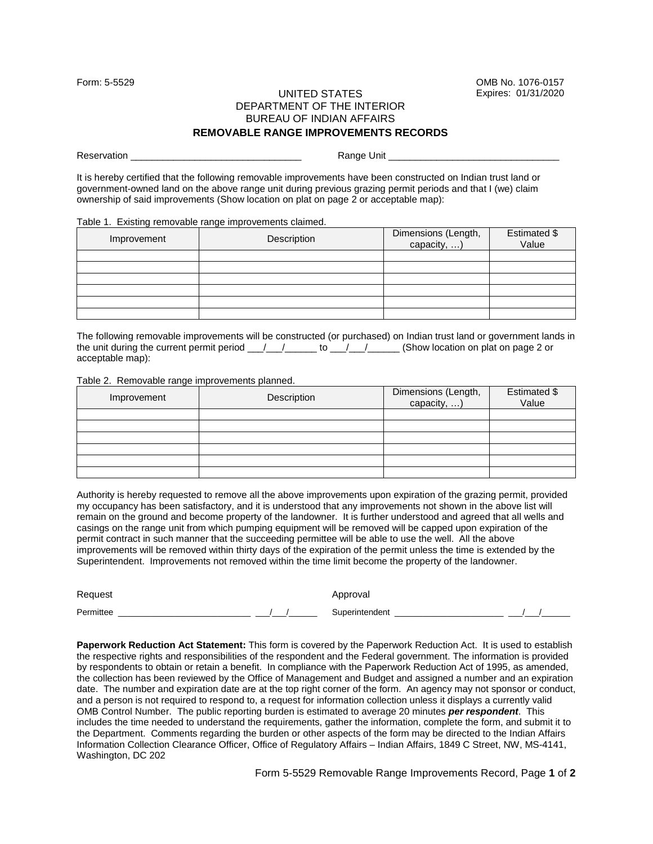Expires: 01/31/2020

## Form: 5-5529 OMB No. 1076-0157 DEPARTMENT OF THE INTERIOR BUREAU OF INDIAN AFFAIRS

## **REMOVABLE RANGE IMPROVEMENTS RECORDS**

Reservation \_\_\_\_\_\_\_\_\_\_\_\_\_\_\_\_\_\_\_\_\_\_\_\_\_\_\_\_\_\_\_\_ Range Unit \_\_\_\_\_\_\_\_\_\_\_\_\_\_\_\_\_\_\_\_\_\_\_\_\_\_\_\_\_\_\_\_

It is hereby certified that the following removable improvements have been constructed on Indian trust land or government-owned land on the above range unit during previous grazing permit periods and that I (we) claim ownership of said improvements (Show location on plat on page 2 or acceptable map):

Table 1. Existing removable range improvements claimed.

| Improvement | Description | Dimensions (Length,<br>capacity, ) | Estimated \$<br>Value |
|-------------|-------------|------------------------------------|-----------------------|
|             |             |                                    |                       |
|             |             |                                    |                       |
|             |             |                                    |                       |
|             |             |                                    |                       |
|             |             |                                    |                       |
|             |             |                                    |                       |

The following removable improvements will be constructed (or purchased) on Indian trust land or government lands in the unit during the current permit period  $\frac{1}{2}$  \_\_\_\_\_\_\_\_ to  $\frac{1}{2}$  \_\_\_\_\_\_\_\_ (Show location on plat on page 2 or acceptable map):

|  |  |  | Table 2. Removable range improvements planned. |  |
|--|--|--|------------------------------------------------|--|
|--|--|--|------------------------------------------------|--|

| Improvement | Description | Dimensions (Length,<br>capacity, ) | Estimated \$<br>Value |
|-------------|-------------|------------------------------------|-----------------------|
|             |             |                                    |                       |
|             |             |                                    |                       |
|             |             |                                    |                       |
|             |             |                                    |                       |
|             |             |                                    |                       |
|             |             |                                    |                       |

Authority is hereby requested to remove all the above improvements upon expiration of the grazing permit, provided my occupancy has been satisfactory, and it is understood that any improvements not shown in the above list will remain on the ground and become property of the landowner. It is further understood and agreed that all wells and casings on the range unit from which pumping equipment will be removed will be capped upon expiration of the permit contract in such manner that the succeeding permittee will be able to use the well. All the above improvements will be removed within thirty days of the expiration of the permit unless the time is extended by the Superintendent. Improvements not removed within the time limit become the property of the landowner.

| Request   |  | Approval       |  |  |
|-----------|--|----------------|--|--|
| Permittee |  | Superintendent |  |  |

**Paperwork Reduction Act Statement:** This form is covered by the Paperwork Reduction Act. It is used to establish the respective rights and responsibilities of the respondent and the Federal government. The information is provided by respondents to obtain or retain a benefit. In compliance with the Paperwork Reduction Act of 1995, as amended, the collection has been reviewed by the Office of Management and Budget and assigned a number and an expiration date. The number and expiration date are at the top right corner of the form. An agency may not sponsor or conduct, and a person is not required to respond to, a request for information collection unless it displays a currently valid OMB Control Number. The public reporting burden is estimated to average 20 minutes *per respondent*. This includes the time needed to understand the requirements, gather the information, complete the form, and submit it to the Department. Comments regarding the burden or other aspects of the form may be directed to the Indian Affairs Information Collection Clearance Officer, Office of Regulatory Affairs – Indian Affairs, 1849 C Street, NW, MS-4141, Washington, DC 202

Form 5-5529 Removable Range Improvements Record, Page **1** of **2**